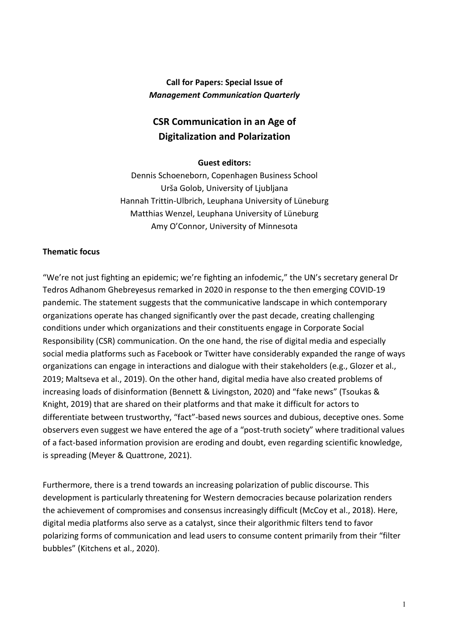# **Call for Papers: Special Issue of** *Management Communication Quarterly*

# **CSR Communication in an Age of Digitalization and Polarization**

## **Guest editors:**

Dennis Schoeneborn, Copenhagen Business School Urša Golob, University of Ljubljana Hannah Trittin-Ulbrich, Leuphana University of Lüneburg Matthias Wenzel, Leuphana University of Lüneburg Amy O'Connor, University of Minnesota

# **Thematic focus**

"We're not just fighting an epidemic; we're fighting an infodemic," the UN's secretary general Dr Tedros Adhanom Ghebreyesus remarked in 2020 in response to the then emerging COVID-19 pandemic. The statement suggests that the communicative landscape in which contemporary organizations operate has changed significantly over the past decade, creating challenging conditions under which organizations and their constituents engage in Corporate Social Responsibility (CSR) communication. On the one hand, the rise of digital media and especially social media platforms such as Facebook or Twitter have considerably expanded the range of ways organizations can engage in interactions and dialogue with their stakeholders (e.g., Glozer et al., 2019; Maltseva et al., 2019). On the other hand, digital media have also created problems of increasing loads of disinformation (Bennett & Livingston, 2020) and "fake news" (Tsoukas & Knight, 2019) that are shared on their platforms and that make it difficult for actors to differentiate between trustworthy, "fact"-based news sources and dubious, deceptive ones. Some observers even suggest we have entered the age of a "post-truth society" where traditional values of a fact-based information provision are eroding and doubt, even regarding scientific knowledge, is spreading (Meyer & Quattrone, 2021).

Furthermore, there is a trend towards an increasing polarization of public discourse. This development is particularly threatening for Western democracies because polarization renders the achievement of compromises and consensus increasingly difficult (McCoy et al., 2018). Here, digital media platforms also serve as a catalyst, since their algorithmic filters tend to favor polarizing forms of communication and lead users to consume content primarily from their "filter bubbles" (Kitchens et al., 2020).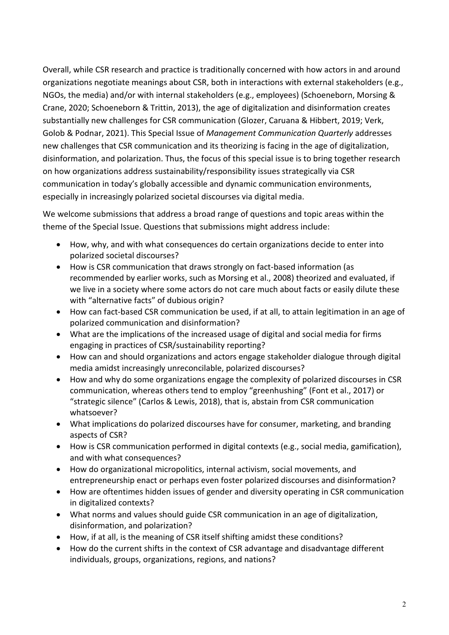Overall, while CSR research and practice is traditionally concerned with how actors in and around organizations negotiate meanings about CSR, both in interactions with external stakeholders (e.g., NGOs, the media) and/or with internal stakeholders (e.g., employees) (Schoeneborn, Morsing & Crane, 2020; Schoeneborn & Trittin, 2013), the age of digitalization and disinformation creates substantially new challenges for CSR communication (Glozer, Caruana & Hibbert, 2019; Verk, Golob & Podnar, 2021). This Special Issue of *Management Communication Quarterly* addresses new challenges that CSR communication and its theorizing is facing in the age of digitalization, disinformation, and polarization. Thus, the focus of this special issue is to bring together research on how organizations address sustainability/responsibility issues strategically via CSR communication in today's globally accessible and dynamic communication environments, especially in increasingly polarized societal discourses via digital media.

We welcome submissions that address a broad range of questions and topic areas within the theme of the Special Issue. Questions that submissions might address include:

- How, why, and with what consequences do certain organizations decide to enter into polarized societal discourses?
- How is CSR communication that draws strongly on fact-based information (as recommended by earlier works, such as Morsing et al., 2008) theorized and evaluated, if we live in a society where some actors do not care much about facts or easily dilute these with "alternative facts" of dubious origin?
- How can fact-based CSR communication be used, if at all, to attain legitimation in an age of polarized communication and disinformation?
- What are the implications of the increased usage of digital and social media for firms engaging in practices of CSR/sustainability reporting?
- How can and should organizations and actors engage stakeholder dialogue through digital media amidst increasingly unreconcilable, polarized discourses?
- How and why do some organizations engage the complexity of polarized discourses in CSR communication, whereas others tend to employ "greenhushing" (Font et al., 2017) or "strategic silence" (Carlos & Lewis, 2018), that is, abstain from CSR communication whatsoever?
- What implications do polarized discourses have for consumer, marketing, and branding aspects of CSR?
- How is CSR communication performed in digital contexts (e.g., social media, gamification), and with what consequences?
- How do organizational micropolitics, internal activism, social movements, and entrepreneurship enact or perhaps even foster polarized discourses and disinformation?
- How are oftentimes hidden issues of gender and diversity operating in CSR communication in digitalized contexts?
- What norms and values should guide CSR communication in an age of digitalization, disinformation, and polarization?
- How, if at all, is the meaning of CSR itself shifting amidst these conditions?
- How do the current shifts in the context of CSR advantage and disadvantage different individuals, groups, organizations, regions, and nations?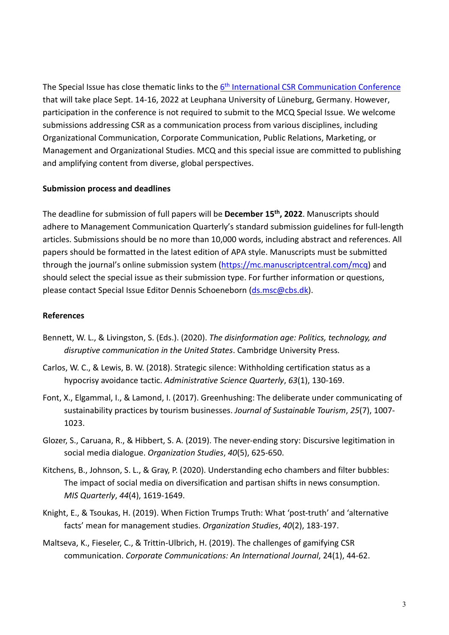The Special Issue has close thematic links to the 6<sup>th</sup> [International CSR Communication Conference](http://csr-com.org/) that will take place Sept. 14-16, 2022 at Leuphana University of Lüneburg, Germany. However, participation in the conference is not required to submit to the MCQ Special Issue. We welcome submissions addressing CSR as a communication process from various disciplines, including Organizational Communication, Corporate Communication, Public Relations, Marketing, or Management and Organizational Studies. MCQ and this special issue are committed to publishing and amplifying content from diverse, global perspectives.

## **Submission process and deadlines**

The deadline for submission of full papers will be **December 15th, 2022**. Manuscripts should adhere to Management Communication Quarterly's standard submission guidelines for full-length articles. Submissions should be no more than 10,000 words, including abstract and references. All papers should be formatted in the latest edition of APA style. Manuscripts must be submitted through the journal's online submission system [\(https://mc.manuscriptcentral.com/mcq\)](https://mc.manuscriptcentral.com/mcq) and should select the special issue as their submission type. For further information or questions, please contact Special Issue Editor Dennis Schoeneborn [\(ds.msc@cbs.dk\)](mailto:ds.msc@cbs.dk).

# **References**

- Bennett, W. L., & Livingston, S. (Eds.). (2020). *The disinformation age: Politics, technology, and disruptive communication in the United States*. Cambridge University Press.
- Carlos, W. C., & Lewis, B. W. (2018). Strategic silence: Withholding certification status as a hypocrisy avoidance tactic. *Administrative Science Quarterly*, *63*(1), 130-169.
- Font, X., Elgammal, I., & Lamond, I. (2017). Greenhushing: The deliberate under communicating of sustainability practices by tourism businesses. *Journal of Sustainable Tourism*, *25*(7), 1007- 1023.
- Glozer, S., Caruana, R., & Hibbert, S. A. (2019). The never-ending story: Discursive legitimation in social media dialogue. *Organization Studies*, *40*(5), 625-650.
- Kitchens, B., Johnson, S. L., & Gray, P. (2020). Understanding echo chambers and filter bubbles: The impact of social media on diversification and partisan shifts in news consumption. *MIS Quarterly*, *44*(4), 1619-1649.
- Knight, E., & Tsoukas, H. (2019). When Fiction Trumps Truth: What 'post-truth' and 'alternative facts' mean for management studies. *Organization Studies*, *40*(2), 183-197.
- Maltseva, K., Fieseler, C., & Trittin-Ulbrich, H. (2019). The challenges of gamifying CSR communication. *Corporate Communications: An International Journal*, 24(1), 44-62.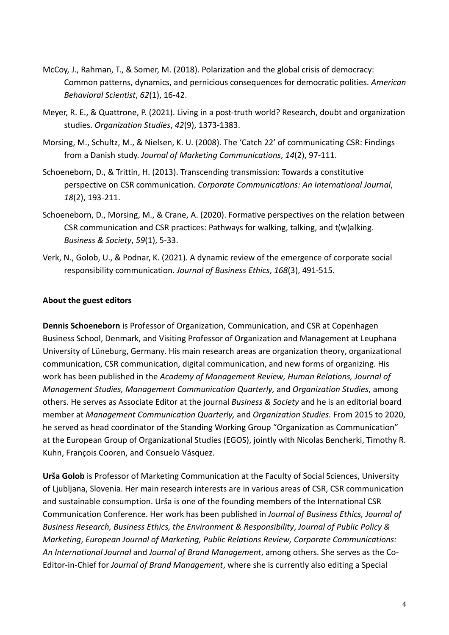- McCoy, J., Rahman, T., & Somer, M. (2018). Polarization and the global crisis of democracy: Common patterns, dynamics, and pernicious consequences for democratic polities. *American Behavioral Scientist*, *62*(1), 16-42.
- Meyer, R. E., & Quattrone, P. (2021). Living in a post-truth world? Research, doubt and organization studies. *Organization Studies*, *42*(9), 1373-1383.
- Morsing, M., Schultz, M., & Nielsen, K. U. (2008). The 'Catch 22' of communicating CSR: Findings from a Danish study. *Journal of Marketing Communications*, *14*(2), 97-111.
- Schoeneborn, D., & Trittin, H. (2013). Transcending transmission: Towards a constitutive perspective on CSR communication. *Corporate Communications: An International Journal*, *18*(2), 193-211.
- Schoeneborn, D., Morsing, M., & Crane, A. (2020). Formative perspectives on the relation between CSR communication and CSR practices: Pathways for walking, talking, and t(w)alking. *Business & Society*, *59*(1), 5-33.
- Verk, N., Golob, U., & Podnar, K. (2021). A dynamic review of the emergence of corporate social responsibility communication. *Journal of Business Ethics*, *168*(3), 491-515.

## **About the guest editors**

**Dennis Schoeneborn** is Professor of Organization, Communication, and CSR at Copenhagen Business School, Denmark, and Visiting Professor of Organization and Management at Leuphana University of Lüneburg, Germany. His main research areas are organization theory, organizational communication, CSR communication, digital communication, and new forms of organizing. His work has been published in the *Academy of Management Review, Human Relations, Journal of Management Studies, Management Communication Quarterly,* and *Organization Studies*, among others. He serves as Associate Editor at the journal *Business & Society* and he is an editorial board member at *Management Communication Quarterly,* and *Organization Studies.* From 2015 to 2020, he served as head coordinator of the Standing Working Group "Organization as Communication" at the European Group of Organizational Studies (EGOS), jointly with Nicolas Bencherki, Timothy R. Kuhn, François Cooren, and Consuelo Vásquez.

**Urša Golob** is Professor of Marketing Communication at the Faculty of Social Sciences, University of Ljubljana, Slovenia. Her main research interests are in various areas of CSR, CSR communication and sustainable consumption. Urša is one of the founding members of the International CSR Communication Conference. Her work has been published in *Journal of Business Ethics, Journal of Business Research, Business Ethics, the Environment & Responsibility*, *Journal of Public Policy & Marketing*, *European Journal of Marketing, Public Relations Review, Corporate Communications: An International Journal* and *Journal of Brand Management*, among others. She serves as the Co-Editor-in-Chief for *Journal of Brand Management*, where she is currently also editing a Special